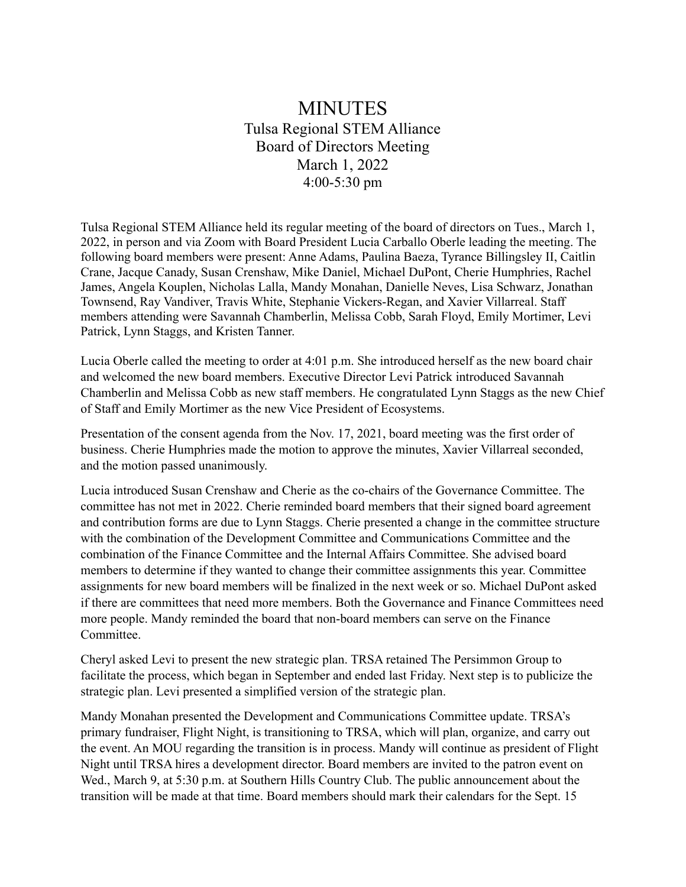## MINUTES Tulsa Regional STEM Alliance Board of Directors Meeting March 1, 2022 4:00-5:30 pm

Tulsa Regional STEM Alliance held its regular meeting of the board of directors on Tues., March 1, 2022, in person and via Zoom with Board President Lucia Carballo Oberle leading the meeting. The following board members were present: Anne Adams, Paulina Baeza, Tyrance Billingsley II, Caitlin Crane, Jacque Canady, Susan Crenshaw, Mike Daniel, Michael DuPont, Cherie Humphries, Rachel James, Angela Kouplen, Nicholas Lalla, Mandy Monahan, Danielle Neves, Lisa Schwarz, Jonathan Townsend, Ray Vandiver, Travis White, Stephanie Vickers-Regan, and Xavier Villarreal. Staff members attending were Savannah Chamberlin, Melissa Cobb, Sarah Floyd, Emily Mortimer, Levi Patrick, Lynn Staggs, and Kristen Tanner.

Lucia Oberle called the meeting to order at 4:01 p.m. She introduced herself as the new board chair and welcomed the new board members. Executive Director Levi Patrick introduced Savannah Chamberlin and Melissa Cobb as new staff members. He congratulated Lynn Staggs as the new Chief of Staff and Emily Mortimer as the new Vice President of Ecosystems.

Presentation of the consent agenda from the Nov. 17, 2021, board meeting was the first order of business. Cherie Humphries made the motion to approve the minutes, Xavier Villarreal seconded, and the motion passed unanimously.

Lucia introduced Susan Crenshaw and Cherie as the co-chairs of the Governance Committee. The committee has not met in 2022. Cherie reminded board members that their signed board agreement and contribution forms are due to Lynn Staggs. Cherie presented a change in the committee structure with the combination of the Development Committee and Communications Committee and the combination of the Finance Committee and the Internal Affairs Committee. She advised board members to determine if they wanted to change their committee assignments this year. Committee assignments for new board members will be finalized in the next week or so. Michael DuPont asked if there are committees that need more members. Both the Governance and Finance Committees need more people. Mandy reminded the board that non-board members can serve on the Finance **Committee** 

Cheryl asked Levi to present the new strategic plan. TRSA retained The Persimmon Group to facilitate the process, which began in September and ended last Friday. Next step is to publicize the strategic plan. Levi presented a simplified version of the strategic plan.

Mandy Monahan presented the Development and Communications Committee update. TRSA's primary fundraiser, Flight Night, is transitioning to TRSA, which will plan, organize, and carry out the event. An MOU regarding the transition is in process. Mandy will continue as president of Flight Night until TRSA hires a development director. Board members are invited to the patron event on Wed., March 9, at 5:30 p.m. at Southern Hills Country Club. The public announcement about the transition will be made at that time. Board members should mark their calendars for the Sept. 15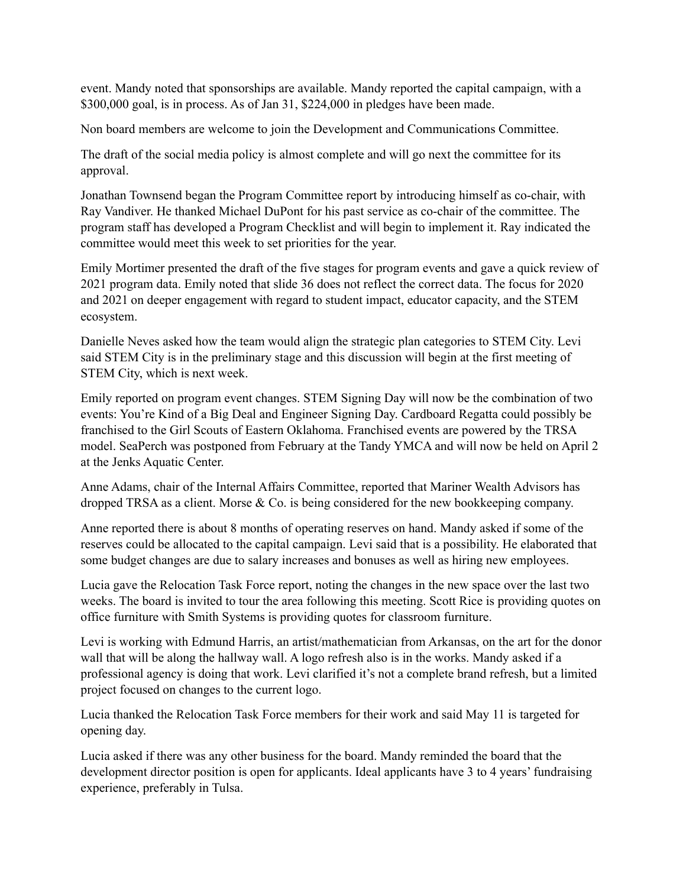event. Mandy noted that sponsorships are available. Mandy reported the capital campaign, with a \$300,000 goal, is in process. As of Jan 31, \$224,000 in pledges have been made.

Non board members are welcome to join the Development and Communications Committee.

The draft of the social media policy is almost complete and will go next the committee for its approval.

Jonathan Townsend began the Program Committee report by introducing himself as co-chair, with Ray Vandiver. He thanked Michael DuPont for his past service as co-chair of the committee. The program staff has developed a Program Checklist and will begin to implement it. Ray indicated the committee would meet this week to set priorities for the year.

Emily Mortimer presented the draft of the five stages for program events and gave a quick review of 2021 program data. Emily noted that slide 36 does not reflect the correct data. The focus for 2020 and 2021 on deeper engagement with regard to student impact, educator capacity, and the STEM ecosystem.

Danielle Neves asked how the team would align the strategic plan categories to STEM City. Levi said STEM City is in the preliminary stage and this discussion will begin at the first meeting of STEM City, which is next week.

Emily reported on program event changes. STEM Signing Day will now be the combination of two events: You're Kind of a Big Deal and Engineer Signing Day. Cardboard Regatta could possibly be franchised to the Girl Scouts of Eastern Oklahoma. Franchised events are powered by the TRSA model. SeaPerch was postponed from February at the Tandy YMCA and will now be held on April 2 at the Jenks Aquatic Center.

Anne Adams, chair of the Internal Affairs Committee, reported that Mariner Wealth Advisors has dropped TRSA as a client. Morse & Co. is being considered for the new bookkeeping company.

Anne reported there is about 8 months of operating reserves on hand. Mandy asked if some of the reserves could be allocated to the capital campaign. Levi said that is a possibility. He elaborated that some budget changes are due to salary increases and bonuses as well as hiring new employees.

Lucia gave the Relocation Task Force report, noting the changes in the new space over the last two weeks. The board is invited to tour the area following this meeting. Scott Rice is providing quotes on office furniture with Smith Systems is providing quotes for classroom furniture.

Levi is working with Edmund Harris, an artist/mathematician from Arkansas, on the art for the donor wall that will be along the hallway wall. A logo refresh also is in the works. Mandy asked if a professional agency is doing that work. Levi clarified it's not a complete brand refresh, but a limited project focused on changes to the current logo.

Lucia thanked the Relocation Task Force members for their work and said May 11 is targeted for opening day.

Lucia asked if there was any other business for the board. Mandy reminded the board that the development director position is open for applicants. Ideal applicants have 3 to 4 years' fundraising experience, preferably in Tulsa.